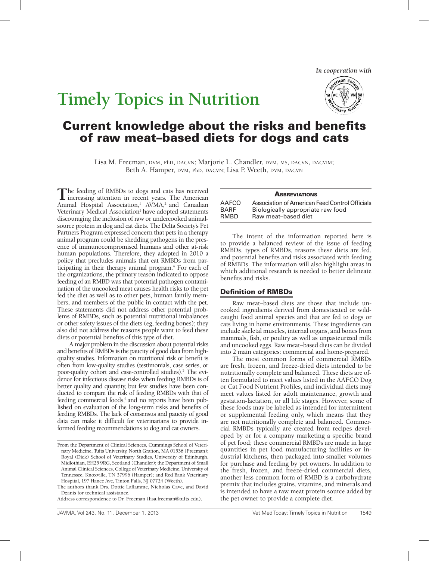*In cooperation with*

# **Timely Topics in Nutrition**



# Current knowledge about the risks and benefits of raw meat–based diets for dogs and cats

Lisa M. Freeman, DVM, PhD, DACVN; Marjorie L. Chandler, DVM, MS, DACVN, DACVIM; Beth A. Hamper, DVM, PhD, DACVN; Lisa P. Weeth, DVM, DACVN

The feeding of RMBDs to dogs and cats has received<br>increasing attention in recent years. The American Animal Hospital Association,<sup>1</sup> AVMA,<sup>2</sup> and Canadian Veterinary Medical Association<sup>3</sup> have adopted statements discouraging the inclusion of raw or undercooked animalsource protein in dog and cat diets. The Delta Society's Pet Partners Program expressed concern that pets in a therapy animal program could be shedding pathogens in the presence of immunocompromised humans and other at-risk human populations. Therefore, they adopted in 2010 a policy that precludes animals that eat RMBDs from participating in their therapy animal program.<sup>4</sup> For each of the organizations, the primary reason indicated to oppose feeding of an RMBD was that potential pathogen contamination of the uncooked meat causes health risks to the pet fed the diet as well as to other pets, human family members, and members of the public in contact with the pet. These statements did not address other potential problems of RMBDs, such as potential nutritional imbalances or other safety issues of the diets (eg, feeding bones); they also did not address the reasons people want to feed these diets or potential benefits of this type of diet.

A major problem in the discussion about potential risks and benefits of RMBDs is the paucity of good data from highquality studies. Information on nutritional risk or benefit is often from low-quality studies (testimonials, case series, or poor-quality cohort and case-controlled studies).<sup>5</sup> The evidence for infectious disease risks when feeding RMBDs is of better quality and quantity, but few studies have been conducted to compare the risk of feeding RMBDs with that of feeding commercial foods,<sup>6</sup> and no reports have been published on evaluation of the long-term risks and benefits of feeding RMBDs. The lack of consensus and paucity of good data can make it difficult for veterinarians to provide informed feeding recommendations to dog and cat owners.

Address correspondence to Dr. Freeman (lisa.freeman@tufts.edu).

| <b>ABBREVIATIONS</b> |                                                |
|----------------------|------------------------------------------------|
| AAFCO                | Association of American Feed Control Officials |
| <b>BARF</b>          | Biologically appropriate raw food              |
| RMBD                 | Raw meat-based diet                            |

The intent of the information reported here is to provide a balanced review of the issue of feeding RMBDs, types of RMBDs, reasons these diets are fed, and potential benefits and risks associated with feeding of RMBDs. The information will also highlight areas in which additional research is needed to better delineate benefits and risks.

#### Definition of RMBDs

Raw meat–based diets are those that include uncooked ingredients derived from domesticated or wildcaught food animal species and that are fed to dogs or cats living in home environments. These ingredients can include skeletal muscles, internal organs, and bones from mammals, fish, or poultry as well as unpasteurized milk and uncooked eggs. Raw meat–based diets can be divided into 2 main categories: commercial and home-prepared.

The most common forms of commercial RMBDs are fresh, frozen, and freeze-dried diets intended to be nutritionally complete and balanced. These diets are often formulated to meet values listed in the AAFCO Dog or Cat Food Nutrient Profiles, and individual diets may meet values listed for adult maintenance, growth and gestation-lactation, or all life stages. However, some of these foods may be labeled as intended for intermittent or supplemental feeding only, which means that they are not nutritionally complete and balanced. Commercial RMBDs typically are created from recipes developed by or for a company marketing a specific brand of pet food; these commercial RMBDs are made in large quantities in pet food manufacturing facilities or industrial kitchens, then packaged into smaller volumes for purchase and feeding by pet owners. In addition to the fresh, frozen, and freeze-dried commercial diets, another less common form of RMBD is a carbohydrate premix that includes grains, vitamins, and minerals and is intended to have a raw meat protein source added by the pet owner to provide a complete diet.

From the Department of Clinical Sciences, Cummings School of Veterinary Medicine, Tufts University, North Grafton, MA 01536 (Freeman); Royal (Dick) School of Veterinary Studies, University of Edinburgh, Midlothian, EH25 9RG, Scotland (Chandler); the Department of Small Animal Clinical Sciences, College of Veterinary Medicine, University of Tennessee, Knoxville, TN 37996 (Hamper); and Red Bank Veterinary Hospital, 197 Hance Ave, Tinton Falls, NJ 07724 (Weeth).

The authors thank Drs. Dottie Laflamme, Nicholas Cave, and David Dzanis for technical assistance.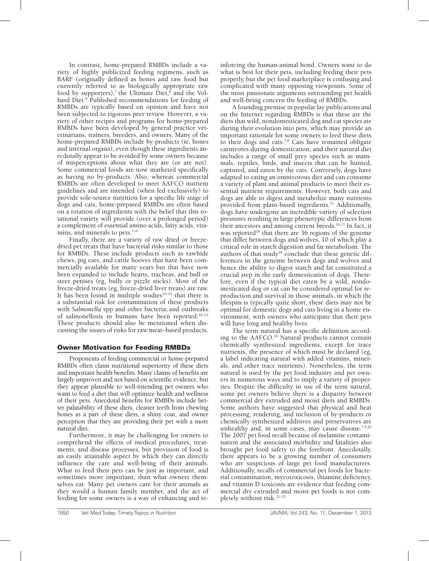In contrast, home-prepared RMBDs include a variety of highly publicized feeding regimens, such as BARF (originally defined as bones and raw food but currently referred to as biologically appropriate raw food by supporters), $^7$  the Ultimate Diet, $^8$  and the Volhard Diet.9 Published recommendations for feeding of RMBDs are typically based on opinion and have not been subjected to rigorous peer review. However, a variety of other recipes and programs for home-prepared RMBDs have been developed by general practice veterinarians, trainers, breeders, and owners. Many of the home-prepared RMBDs include by-products (ie, bones and internal organs), even though these ingredients anecdotally appear to be avoided by some owners because of misperceptions about what they are (or are not). Some commercial foods are now marketed specifically as having no by-products. Also, whereas commercial RMBDs are often developed to meet AAFCO nutrient guidelines and are intended (when fed exclusively) to provide sole-source nutrition for a specific life stage of dogs and cats, home-prepared RMBDs are often based on a rotation of ingredients with the belief that this rotational variety will provide (over a prolonged period) a complement of essential amino acids, fatty acids, vitamins, and minerals to pets. $7-9$ 

Finally, there are a variety of raw dried or freezedried pet treats that have bacterial risks similar to those for RMBDs. These include products such as rawhide chews, pig ears, and cattle hooves that have been commercially available for many years but that have now been expanded to include hearts, tracheas, and bull or steer penises (eg, bully or pizzle sticks). Most of the freeze-dried treats (eg, freeze-dried liver treats) are raw. It has been found in multiple studies $10-14$  that there is a substantial risk for contamination of these products with *Salmonella* spp and other bacteria, and outbreaks of salmonellosis in humans have been reported.10–12 These products should also be mentioned when discussing the issues of risks for raw meat–based products.

# Owner Motivation for Feeding RMBDs

Proponents of feeding commercial or home-prepared RMBDs often claim nutritional superiority of these diets and important health benefits. Many claims of benefits are largely unproven and not based on scientific evidence, but they appear plausible to well-intending pet owners who want to feed a diet that will optimize health and wellness of their pets. Anecdotal benefits for RMBDs include better palatability of these diets, cleaner teeth from chewing bones as a part of these diets, a shiny coat, and owner perception that they are providing their pet with a more natural diet.

Furthermore, it may be challenging for owners to comprehend the effects of medical procedures, treatments, and disease processes, but provision of food is an easily attainable aspect by which they can directly influence the care and well-being of their animals. What to feed their pets can be just as important, and sometimes more important, than what owners themselves eat. Many pet owners care for their animals as they would a human family member, and the act of feeding for some owners is a way of enhancing and reinforcing the human-animal bond. Owners want to do what is best for their pets, including feeding their pets properly, but the pet food marketplace is confusing and complicated with many opposing viewpoints. Some of the most passionate arguments surrounding pet health and well-being concern the feeding of RMBDs.

A founding premise in popular lay publications and on the Internet regarding RMBDs is that these are the diets that wild, nondomesticated dog and cat species ate during their evolution into pets, which may provide an important rationale for some owners to feed these diets to their dogs and cats.<sup>7,8</sup> Cats have remained obligate carnivores during domestication, and their natural diet includes a range of small prey species such as mammals, reptiles, birds, and insects that can be hunted, captured, and eaten by the cats. Conversely, dogs have adapted to eating an omnivorous diet and can consume a variety of plant and animal products to meet their essential nutrient requirements. However, both cats and dogs are able to digest and metabolize many nutrients provided from plant-based ingredients.<sup>15</sup> Additionally, dogs have undergone an incredible variety of selection pressures resulting in large phenotypic differences from their ancestors and among current breeds.<sup>16,17</sup> In fact, it was reported<sup>18</sup> that there are 36 regions of the genome that differ between dogs and wolves, 10 of which play a critical role in starch digestion and fat metabolism. The authors of that study<sup>18</sup> conclude that these genetic differences in the genome between dogs and wolves and hence the ability to digest starch and fat constituted a crucial step in the early domestication of dogs. Therefore, even if the typical diet eaten by a wild, nondomesticated dog or cat can be considered optimal for reproduction and survival in those animals, in which the lifespan is typically quite short, these diets may not be optimal for domestic dogs and cats living in a home environment, with owners who anticipate that their pets will have long and healthy lives.

The term natural has a specific definition according to the AAFCO.19 Natural products cannot contain chemically synthesized ingredients, except for trace nutrients, the presence of which must be declared (eg, a label indicating natural with added vitamins, minerals, and other trace nutrients). Nonetheless, the term natural is used by the pet food industry and pet owners in numerous ways and to imply a variety of properties. Despite the difficulty in use of the term natural, some pet owners believe there is a disparity between commercial dry extruded and moist diets and RMBDs. Some authors have suggested that physical and heat processing, rendering, and inclusion of by-products or chemically synthesized additives and preservatives are unhealthy and, in some cases, may cause disease.<sup>7,9,20</sup> The 2007 pet food recall because of melamine contamination and the associated morbidity and fatalities also brought pet food safety to the forefront. Anecdotally, there appears to be a growing number of consumers who are suspicious of large pet food manufacturers. Additionally, recalls of commercial pet foods for bacterial contamination, mycotoxicosis, thiamine deficiency, and vitamin D toxicosis are evidence that feeding commercial dry extruded and moist pet foods is not completely without risk.21–25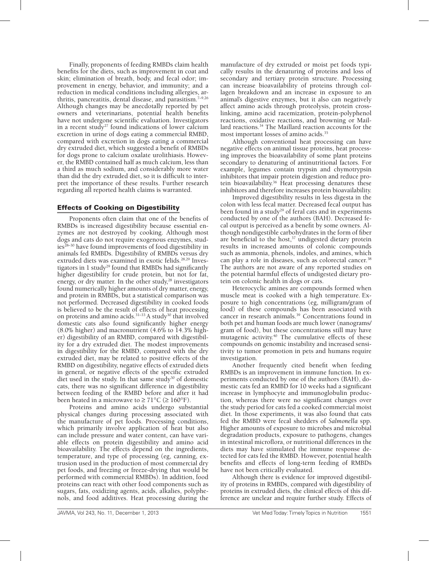Finally, proponents of feeding RMBDs claim health benefits for the diets, such as improvement in coat and skin; elimination of breath, body, and fecal odor; improvement in energy, behavior, and immunity; and a reduction in medical conditions including allergies, arthritis, pancreatitis, dental disease, and parasitism.<sup>7-9,26</sup> Although changes may be anecdotally reported by pet owners and veterinarians, potential health benefits have not undergone scientific evaluation. Investigators in a recent study<sup>27</sup> found indications of lower calcium excretion in urine of dogs eating a commercial RMBD, compared with excretion in dogs eating a commercial dry extruded diet, which suggested a benefit of RMBDs for dogs prone to calcium oxalate urolithiasis. However, the RMBD contained half as much calcium, less than a third as much sodium, and considerably more water than did the dry extruded diet, so it is difficult to interpret the importance of these results. Further research regarding all reported health claims is warranted.

# Effects of Cooking on Digestibility

Proponents often claim that one of the benefits of RMBDs is increased digestibility because essential enzymes are not destroyed by cooking. Although most dogs and cats do not require exogenous enzymes, studies<sup>28-30</sup> have found improvements of food digestibility in animals fed RMBDs. Digestibility of RMBDs versus dry extruded diets was examined in exotic felids.<sup>28,29</sup> Investigators in  $1$  study<sup>29</sup> found that RMBDs had significantly higher digestibility for crude protein, but not for fat, energy, or dry matter. In the other study, $28$  investigators found numerically higher amounts of dry matter, energy, and protein in RMBDs, but a statistical comparison was not performed. Decreased digestibility in cooked foods is believed to be the result of effects of heat processing on proteins and amino acids.<sup>31-33</sup> A study<sup>30</sup> that involved domestic cats also found significantly higher energy (8.0% higher) and macronutrient (4.6% to 14.3% higher) digestibility of an RMBD, compared with digestibility for a dry extruded diet. The modest improvements in digestibility for the RMBD, compared with the dry extruded diet, may be related to positive effects of the RMBD on digestibility, negative effects of extruded diets in general, or negative effects of the specific extruded diet used in the study. In that same study<sup>30</sup> of domestic cats, there was no significant difference in digestibility between feeding of the RMBD before and after it had been heated in a microwave to  $\geq 71^{\circ}$ C ( $\geq 160^{\circ}$ F).

Proteins and amino acids undergo substantial physical changes during processing associated with the manufacture of pet foods. Processing conditions, which primarily involve application of heat but also can include pressure and water content, can have variable effects on protein digestibility and amino acid bioavailability. The effects depend on the ingredients, temperature, and type of processing (eg, canning, extrusion used in the production of most commercial dry pet foods, and freezing or freeze-drying that would be performed with commercial RMBDs). In addition, food proteins can react with other food components such as sugars, fats, oxidizing agents, acids, alkalies, polyphenols, and food additives. Heat processing during the

manufacture of dry extruded or moist pet foods typically results in the denaturing of proteins and loss of secondary and tertiary protein structure. Processing can increase bioavailability of proteins through collagen breakdown and an increase in exposure to an animal's digestive enzymes, but it also can negatively affect amino acids through proteolysis, protein crosslinking, amino acid racemization, protein-polyphenol reactions, oxidative reactions, and browning or Maillard reactions.34 The Maillard reaction accounts for the most important losses of amino acids.35

Although conventional heat processing can have negative effects on animal tissue proteins, heat processing improves the bioavailability of some plant proteins secondary to denaturing of antinutritional factors. For example, legumes contain trypsin and chymotrypsin inhibitors that impair protein digestion and reduce protein bioavailability.<sup>36</sup> Heat processing denatures these inhibitors and therefore increases protein bioavailability.

Improved digestibility results in less digesta in the colon with less fecal matter. Decreased fecal output has been found in a study<sup>29</sup> of feral cats and in experiments conducted by one of the authors (BAH). Decreased fecal output is perceived as a benefit by some owners. Although nondigestible carbohydrates in the form of fiber are beneficial to the host,<sup>37</sup> undigested dietary protein results in increased amounts of colonic compounds such as ammonia, phenols, indoles, and amines, which can play a role in diseases, such as colorectal cancer.<sup>38</sup> The authors are not aware of any reported studies on the potential harmful effects of undigested dietary protein on colonic health in dogs or cats.

Heterocyclic amines are compounds formed when muscle meat is cooked with a high temperature. Exposure to high concentrations (eg, milligram/gram of food) of these compounds has been associated with cancer in research animals.<sup>39</sup> Concentrations found in both pet and human foods are much lower (nanograms/ gram of food), but these concentrations still may have mutagenic activity.<sup>40</sup> The cumulative effects of these compounds on genomic instability and increased sensitivity to tumor promotion in pets and humans require investigation.

Another frequently cited benefit when feeding RMBDs is an improvement in immune function. In experiments conducted by one of the authors (BAH), domestic cats fed an RMBD for 10 weeks had a significant increase in lymphocyte and immunoglobulin production, whereas there were no significant changes over the study period for cats fed a cooked commercial moist diet. In those experiments, it was also found that cats fed the RMBD were fecal shedders of *Salmonella* spp. Higher amounts of exposure to microbes and microbial degradation products, exposure to pathogens, changes in intestinal microflora, or nutritional differences in the diets may have stimulated the immune response detected for cats fed the RMBD. However, potential health benefits and effects of long-term feeding of RMBDs have not been critically evaluated.

Although there is evidence for improved digestibility of proteins in RMBDs, compared with digestibility of proteins in extruded diets, the clinical effects of this difference are unclear and require further study. Effects of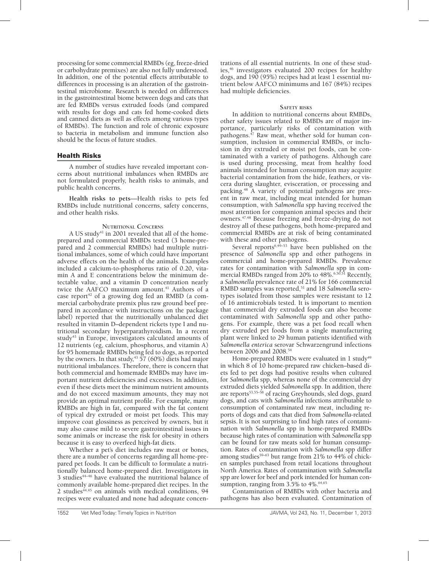processing for some commercial RMBDs (eg, freeze-dried or carbohydrate premixes) are also not fully understood. In addition, one of the potential effects attributable to differences in processing is an alteration of the gastrointestinal microbiome. Research is needed on differences in the gastrointestinal biome between dogs and cats that are fed RMBDs versus extruded foods (and compared with results for dogs and cats fed home-cooked diets and canned diets as well as effects among various types of RMBDs). The function and role of chronic exposure to bacteria in metabolism and immune function also should be the focus of future studies.

# Health Risks

A number of studies have revealed important concerns about nutritional imbalances when RMBDs are not formulated properly, health risks to animals, and public health concerns.

**Health risks to pets**—Health risks to pets fed RMBDs include nutritional concerns, safety concerns, and other health risks.

#### **NUTRITIONAL CONCERNS**

A US study<sup>41</sup> in 2001 revealed that all of the homeprepared and commercial RMBDs tested (3 home-prepared and 2 commercial RMBDs) had multiple nutritional imbalances, some of which could have important adverse effects on the health of the animals. Examples included a calcium-to-phosphorus ratio of  $0.20$ , vitamin A and E concentrations below the minimum detectable value, and a vitamin D concentration nearly twice the AAFCO maximum amount.<sup>41</sup> Authors of a case report<sup>42</sup> of a growing dog fed an RMBD (a commercial carbohydrate premix plus raw ground beef prepared in accordance with instructions on the package label) reported that the nutritionally unbalanced diet resulted in vitamin D–dependent rickets type I and nutritional secondary hyperparathyroidism. In a recent study<sup>43</sup> in Europe, investigators calculated amounts of 12 nutrients (eg, calcium, phosphorus, and vitamin A) for 95 homemade RMBDs being fed to dogs, as reported by the owners. In that study,<sup>43</sup>  $\frac{57}{(60\%)}$  diets had major nutritional imbalances. Therefore, there is concern that both commercial and homemade RMBDs may have important nutrient deficiencies and excesses. In addition, even if these diets meet the minimum nutrient amounts and do not exceed maximum amounts, they may not provide an optimal nutrient profile. For example, many RMBDs are high in fat, compared with the fat content of typical dry extruded or moist pet foods. This may improve coat glossiness as perceived by owners, but it may also cause mild to severe gastrointestinal issues in some animals or increase the risk for obesity in others because it is easy to overfeed high-fat diets.

Whether a pet's diet includes raw meat or bones, there are a number of concerns regarding all home-prepared pet foods. It can be difficult to formulate a nutritionally balanced home-prepared diet. Investigators in 3 studies<sup>44-46</sup> have evaluated the nutritional balance of commonly available home-prepared diet recipes. In the 2 studies $44,45$  on animals with medical conditions, 94 recipes were evaluated and none had adequate concen-

trations of all essential nutrients. In one of these studies,<sup>46</sup> investigators evaluated 200 recipes for healthy dogs, and 190 (95%) recipes had at least 1 essential nutrient below AAFCO minimums and 167 (84%) recipes had multiple deficiencies.

#### **SAFETY RISKS**

In addition to nutritional concerns about RMBDs, other safety issues related to RMBDs are of major importance, particularly risks of contamination with pathogens.<sup>47</sup> Raw meat, whether sold for human consumption, inclusion in commercial RMBDs, or inclusion in dry extruded or moist pet foods, can be contaminated with a variety of pathogens. Although care is used during processing, meat from healthy food animals intended for human consumption may acquire bacterial contamination from the hide, feathers, or viscera during slaughter, evisceration, or processing and packing.48 A variety of potential pathogens are present in raw meat, including meat intended for human consumption, with *Salmonella* spp having received the most attention for companion animal species and their owners.47,48 Because freezing and freeze-drying do not destroy all of these pathogens, both home-prepared and commercial RMBDs are at risk of being contaminated with these and other pathogens.

Several reports $6,49-53$  have been published on the presence of *Salmonella* spp and other pathogens in commercial and home-prepared RMBDs. Prevalence rates for contamination with *Salmonella* spp in commercial RMBDs ranged from 20% to 48%.6,50,51 Recently, a *Salmonella* prevalence rate of 21% for 166 commercial RMBD samples was reported,<sup>51</sup> and 18 *Salmonella* serotypes isolated from those samples were resistant to 12 of 16 antimicrobials tested. It is important to mention that commercial dry extruded foods can also become contaminated with *Salmonella* spp and other pathogens. For example, there was a pet food recall when dry extruded pet foods from a single manufacturing plant were linked to 29 human patients identified with *Salmonella enterica* serovar Schwarzengrund infections between 2006 and 2008.54

Home-prepared RMBDs were evaluated in  $1$  study<sup>49</sup> in which 8 of 10 home-prepared raw chicken–based diets fed to pet dogs had positive results when cultured for *Salmonella* spp, whereas none of the commercial dry extruded diets yielded *Salmonella* spp. In addition, there are reports53,55–58 of racing Greyhounds, sled dogs, guard dogs, and cats with *Salmonella* infections attributable to consumption of contaminated raw meat, including reports of dogs and cats that died from *Salmonella*-related sepsis.It is not surprising to find high rates of contamination with *Salmonella* spp in home-prepared RMBDs because high rates of contamination with *Salmonella* spp can be found for raw meats sold for human consumption. Rates of contamination with *Salmonella* spp differ among studies<sup>59-63</sup> but range from 21% to 44% of chicken samples purchased from retail locations throughout North America. Rates of contamination with *Salmonella* spp are lower for beef and pork intended for human consumption, ranging from  $3.5\%$  to  $4\%$ .<sup>64,65</sup>

Contamination of RMBDs with other bacteria and pathogens has also been evaluated. Contamination of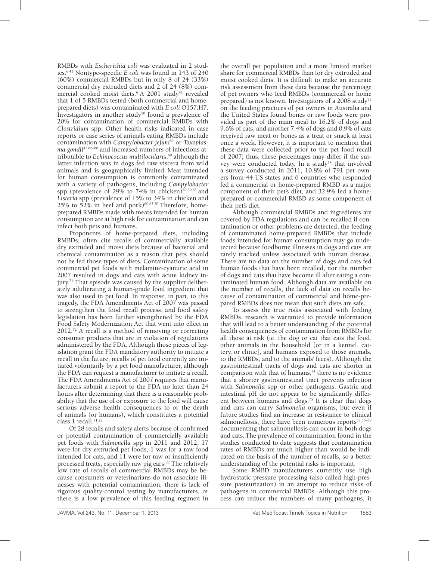RMBDs with *Escherichia coli* was evaluated in 2 studies.6,41 Nontype-specific *E coli* was found in 143 of 240 (60%) commercial RMBDs but in only 8 of 24 (33%) commercial dry extruded diets and 2 of 24 (8%) commercial cooked moist diets.<sup>6</sup> A 2001 study<sup>41</sup> revealed that 1 of 5 RMBDs tested (both commercial and homeprepared diets) was contaminated with *E coli* O157:H7. Investigators in another study<sup>50</sup> found a prevalence of 20% for contamination of commercial RMBDs with *Clostridium* spp. Other health risks indicated in case reports or case series of animals eating RMBDs include contamination with *Campylobacter jejuni*52 or *Toxoplas*ma gondii<sup>42,66-68</sup> and increased numbers of infections attributable to *Echinococcus* multilocularis,<sup>69</sup> although the latter infection was in dogs fed raw viscera from wild animals and is geographically limited. Meat intended for human consumption is commonly contaminated with a variety of pathogens, including *Campylobacter* spp (prevalence of 29% to 74% in chicken) $59,60,63$  and *Listeria* spp (prevalence of 15% to 34% in chicken and 25% to  $52\%$  in beef and pork)<sup>60,63,70</sup> Therefore, homeprepared RMBDs made with meats intended for human consumption are at high risk for contamination and can infect both pets and humans.

Proponents of home-prepared diets, including RMBDs, often cite recalls of commercially available dry extruded and moist diets because of bacterial and chemical contamination as a reason that pets should not be fed those types of diets. Contamination of some commercial pet foods with melamine-cyanuric acid in 2007 resulted in dogs and cats with acute kidney injury.<sup>71</sup> That episode was caused by the supplier deliberately adulterating a human-grade food ingredient that was also used in pet food. In response, in part, to this tragedy, the FDA Amendments Act of 2007 was passed to strengthen the food recall process, and food safety legislation has been further strengthened by the FDA Food Safety Modernization Act that went into effect in  $2012$ <sup>72</sup> A recall is a method of removing or correcting consumer products that are in violation of regulations administered by the FDA. Although those pieces of legislation grant the FDA mandatory authority to initiate a recall in the future, recalls of pet food currently are initiated voluntarily by a pet food manufacturer, although the FDA can request a manufacturer to initiate a recall. The FDA Amendments Act of 2007 requires that manufacturers submit a report to the FDA no later than 24 hours after determining that there is a reasonable probability that the use of or exposure to the food will cause serious adverse health consequences to or the death of animals (or humans), which constitutes a potential class 1 recall.<sup>71,72</sup>

Of 28 recalls and safety alerts because of confirmed or potential contamination of commercially available pet foods with *Salmonella* spp in 2011 and 2012, 17 were for dry extruded pet foods, 1 was for a raw food intended for cats, and 11 were for raw or insufficiently processed treats, especially raw pig ears.<sup>22</sup> The relatively low rate of recalls of commercial RMBDs may be because consumers or veterinarians do not associate illnesses with potential contamination, there is lack of rigorous quality-control testing by manufacturers, or there is a low prevalence of this feeding regimen in

the overall pet population and a more limited market share for commercial RMBDs than for dry extruded and moist cooked diets. It is difficult to make an accurate risk assessment from these data because the percentage of pet owners who feed RMBDs (commercial or home prepared) is not known. Investigators of a 2008 study73 on the feeding practices of pet owners in Australia and the United States found bones or raw foods were provided as part of the main meal to 16.2% of dogs and 9.6% of cats, and another 7.4% of dogs and 0.9% of cats received raw meat or bones as a treat or snack at least once a week. However, it is important to mention that these data were collected prior to the pet food recall of 2007; thus, these percentages may differ if the survey were conducted today. In a study<sup>14</sup> that involved a survey conducted in 2011, 10.8% of 791 pet owners from 44 US states and 6 countries who responded fed a commercial or home-prepared RMBD as a major component of their pet's diet, and 32.9% fed a homeprepared or commercial RMBD as some component of their pet's diet.

Although commercial RMBDs and ingredients are covered by FDA regulations and can be recalled if contamination or other problems are detected, the feeding of contaminated home-prepared RMBDs that include foods intended for human consumption may go undetected because foodborne illnesses in dogs and cats are rarely tracked unless associated with human disease. There are no data on the number of dogs and cats fed human foods that have been recalled, nor the number of dogs and cats that have become ill after eating a contaminated human food. Although data are available on the number of recalls, the lack of data on recalls because of contamination of commercial and home-prepared RMBDs does not mean that such diets are safe.

To assess the true risks associated with feeding RMBDs, research is warranted to provide information that will lead to a better understanding of the potential health consequences of contamination from RMBDs for all those at risk (ie, the dog or cat that eats the food, other animals in the household [or in a kennel, cattery, or clinic], and humans exposed to those animals, to the RMBDs, and to the animals' feces). Although the gastrointestinal tracts of dogs and cats are shorter in comparison with that of humans, $74$  there is no evidence that a shorter gastrointestinal tract prevents infection with *Salmonella* spp or other pathogens. Gastric and intestinal pH do not appear to be significantly different between humans and dogs.<sup>75</sup> It is clear that dogs and cats can carry *Salmonella* organisms, but even if future studies find an increase in resistance to clinical salmonellosis, there have been numerous reports<sup>53,55-58</sup> documenting that salmonellosis can occur in both dogs and cats.The prevalence of contamination found in the studies conducted to date suggests that contamination rates of RMBDs are much higher than would be indicated on the basis of the number of recalls, so a better understanding of the potential risks is important.

Some RMBD manufacturers currently use high hydrostatic pressure processing (also called high-pressure pasteurization) in an attempt to reduce risks of pathogens in commercial RMBDs. Although this process can reduce the numbers of many pathogens, it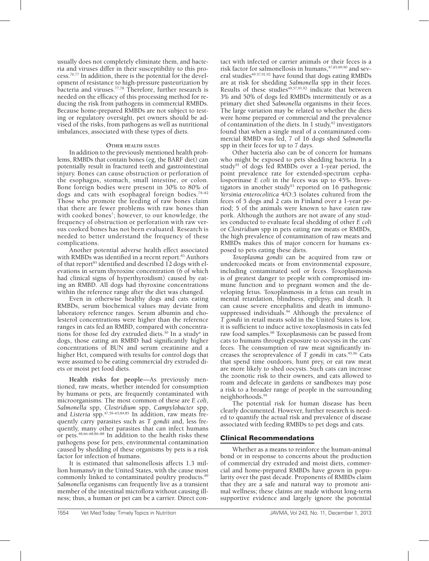usually does not completely eliminate them, and bacteria and viruses differ in their susceptibility to this process.76,77 In addition, there is the potential for the development of resistance to high-pressure pasteurization by bacteria and viruses.77,78 Therefore, further research is needed on the efficacy of this processing method for reducing the risk from pathogens in commercial RMBDs. Because home-prepared RMBDs are not subject to testing or regulatory oversight, pet owners should be advised of the risks, from pathogens as well as nutritional imbalances, associated with these types of diets.

#### **OTHER HEALTH ISSUES**

In addition to the previously mentioned health problems, RMBDs that contain bones (eg, the BARF diet) can potentially result in fractured teeth and gastrointestinal injury. Bones can cause obstruction or perforation of the esophagus, stomach, small intestine, or colon. Bone foreign bodies were present in 30% to 80% of dogs and cats with esophageal foreign bodies.<sup>79-82</sup> Those who promote the feeding of raw bones claim that there are fewer problems with raw bones than with cooked bones<sup>7</sup>; however, to our knowledge, the frequency of obstruction or perforation with raw versus cooked bones has not been evaluated. Research is needed to better understand the frequency of these complications.

Another potential adverse health effect associated with RMBDs was identified in a recent report.<sup>83</sup> Authors of that report<sup>83</sup> identified and described  $12$  dogs with elevations in serum thyroxine concentration (6 of which had clinical signs of hyperthyroidism) caused by eating an RMBD. All dogs had thyroxine concentrations within the reference range after the diet was changed.

Even in otherwise healthy dogs and cats eating RMBDs, serum biochemical values may deviate from laboratory reference ranges. Serum albumin and cholesterol concentrations were higher than the reference ranges in cats fed an RMBD, compared with concentrations for those fed dry extruded diets.<sup>30</sup> In a study<sup>a</sup> in dogs, those eating an RMBD had significantly higher concentrations of BUN and serum creatinine and a higher Hct, compared with results for control dogs that were assumed to be eating commercial dry extruded diets or moist pet food diets.

**Health risks for people**—As previously mentioned, raw meats, whether intended for consumption by humans or pets, are frequently contaminated with microorganisms. The most common of these are *E coli*, *Salmonella* spp, *Clostridium* spp, *Campylobacter* spp, and *Listeria* spp.<sup>47,59-65,84,85</sup> In addition, raw meats frequently carry parasites such as *T gondii* and, less frequently, many other parasites that can infect humans or pets.48,66–68,86–88 In addition to the health risks these pathogens pose for pets, environmental contamination caused by shedding of these organisms by pets is a risk factor for infection of humans.

It is estimated that salmonellosis affects 1.3 million humans/y in the United States, with the cause most commonly linked to contaminated poultry products.<sup>89</sup> *Salmonella* organisms can frequently live as a transient member of the intestinal microflora without causing illness; thus, a human or pet can be a carrier. Direct con-

tact with infected or carrier animals or their feces is a risk factor for salmonellosis in humans.<sup>47,85,89,90</sup> and several studies<sup>49,57,91,92</sup> have found that dogs eating RMBDs are at risk for shedding *Salmonella* spp in their feces. Results of these studies<sup>49,57,91,92</sup> indicate that between 3% and 50% of dogs fed RMBDs intermittently or as a primary diet shed *Salmonella* organisms in their feces. The large variation may be related to whether the diets were home prepared or commercial and the prevalence of contamination of the diets. In 1 study, $92$  investigators found that when a single meal of a contaminated commercial RMBD was fed, 7 of 16 dogs shed *Salmonella* spp in their feces for up to 7 days.

Other bacteria also can be of concern for humans who might be exposed to pets shedding bacteria. In a study<sup>91</sup> of dogs fed RMBDs over a 1-year period, the point prevalence rate for extended-spectrum cephalosporinase *E coli* in the feces was up to 45%. Investigators in another study<sup>93</sup> reported on 16 pathogenic *Yersinia enterocolitica* 4/O:3 isolates cultured from the feces of 5 dogs and 2 cats in Finland over a 1-year period; 5 of the animals were known to have eaten raw pork. Although the authors are not aware of any studies conducted to evaluate fecal shedding of other *E coli*  or *Clostridium* spp in pets eating raw meats or RMBDs, the high prevalence of contamination of raw meats and RMBDs makes this of major concern for humans exposed to pets eating these diets.

*Toxoplasma gondii* can be acquired from raw or undercooked meats or from environmental exposure, including contaminated soil or feces. Toxoplasmosis is of greatest danger to people with compromised immune function and to pregnant women and the developing fetus. Toxoplasmosis in a fetus can result in mental retardation, blindness, epilepsy, and death. It can cause severe encephalitis and death in immunosuppressed individuals.<sup>94</sup> Although the prevalence of *T gondii* in retail meats sold in the United States is low, it is sufficient to induce active toxoplasmosis in cats fed raw food samples.68 Toxoplasmosis can be passed from cats to humans through exposure to oocysts in the cats' feces. The consumption of raw meat significantly increases the seroprevalence of *T gondii* in cats.95,96 Cats that spend time outdoors, hunt prey, or eat raw meat are more likely to shed oocysts. Such cats can increase the zoonotic risk to their owners, and cats allowed to roam and defecate in gardens or sandboxes may pose a risk to a broader range of people in the surrounding neighborhoods.94

The potential risk for human disease has been clearly documented. However, further research is needed to quantify the actual risk and prevalence of disease associated with feeding RMBDs to pet dogs and cats.

# Clinical Recommendations

Whether as a means to reinforce the human-animal bond or in response to concerns about the production of commercial dry extruded and moist diets, commercial and home-prepared RMBDs have grown in popularity over the past decade. Proponents of RMBDs claim that they are a safe and natural way to promote animal wellness; these claims are made without long-term supportive evidence and largely ignore the potential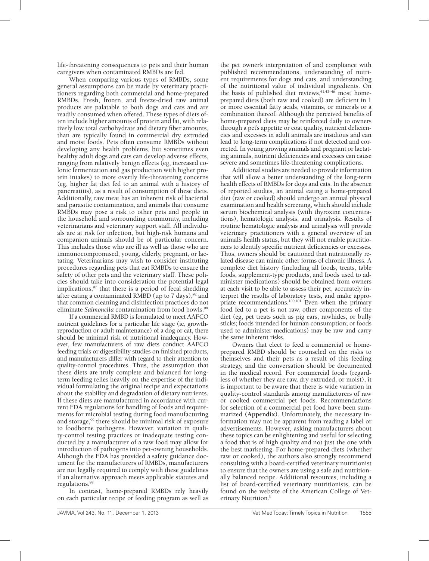life-threatening consequences to pets and their human caregivers when contaminated RMBDs are fed.

When comparing various types of RMBDs, some general assumptions can be made by veterinary practitioners regarding both commercial and home-prepared RMBDs. Fresh, frozen, and freeze-dried raw animal products are palatable to both dogs and cats and are readily consumed when offered. These types of diets often include higher amounts of protein and fat, with relatively low total carbohydrate and dietary fiber amounts, than are typically found in commercial dry extruded and moist foods. Pets often consume RMBDs without developing any health problems, but sometimes even healthy adult dogs and cats can develop adverse effects, ranging from relatively benign effects (eg, increased colonic fermentation and gas production with higher protein intakes) to more overtly life-threatening concerns (eg, higher fat diet fed to an animal with a history of pancreatitis), as a result of consumption of these diets. Additionally, raw meat has an inherent risk of bacterial and parasitic contamination, and animals that consume RMBDs may pose a risk to other pets and people in the household and surrounding community, including veterinarians and veterinary support staff. All individuals are at risk for infection, but high-risk humans and companion animals should be of particular concern. This includes those who are ill as well as those who are immunocompromised, young, elderly, pregnant, or lactating. Veterinarians may wish to consider instituting procedures regarding pets that eat RMBDs to ensure the safety of other pets and the veterinary staff. These policies should take into consideration the potential legal implications, $97$  that there is a period of fecal shedding after eating a contaminated RMBD (up to 7 days),  $92$  and that common cleaning and disinfection practices do not eliminate *Salmonella* contamination from food bowls.<sup>98</sup>

If a commercial RMBD is formulated to meet AAFCO nutrient guidelines for a particular life stage (ie, growthreproduction or adult maintenance) of a dog or cat, there should be minimal risk of nutritional inadequacy. However, few manufacturers of raw diets conduct AAFCO feeding trials or digestibility studies on finished products, and manufacturers differ with regard to their attention to quality-control procedures. Thus, the assumption that these diets are truly complete and balanced for longterm feeding relies heavily on the expertise of the individual formulating the original recipe and expectations about the stability and degradation of dietary nutrients. If these diets are manufactured in accordance with current FDA regulations for handling of foods and requirements for microbial testing during food manufacturing and storage,<sup>99</sup> there should be minimal risk of exposure to foodborne pathogens. However, variation in quality-control testing practices or inadequate testing conducted by a manufacturer of a raw food may allow for introduction of pathogens into pet-owning households. Although the FDA has provided a safety guidance document for the manufacturers of RMBDs, manufacturers are not legally required to comply with these guidelines if an alternative approach meets applicable statutes and regulations.99

In contrast, home-prepared RMBDs rely heavily on each particular recipe or feeding program as well as

the pet owner's interpretation of and compliance with published recommendations, understanding of nutrient requirements for dogs and cats, and understanding of the nutritional value of individual ingredients. On the basis of published diet reviews,  $41,43-46$  most homeprepared diets (both raw and cooked) are deficient in 1 or more essential fatty acids, vitamins, or minerals or a combination thereof. Although the perceived benefits of home-prepared diets may be reinforced daily to owners through a pet's appetite or coat quality, nutrient deficiencies and excesses in adult animals are insidious and can lead to long-term complications if not detected and corrected. In young growing animals and pregnant or lactating animals, nutrient deficiencies and excesses can cause severe and sometimes life-threatening complications.

Additional studies are needed to provide information that will allow a better understanding of the long-term health effects of RMBDs for dogs and cats. In the absence of reported studies, an animal eating a home-prepared diet (raw or cooked) should undergo an annual physical examination and health screening, which should include serum biochemical analysis (with thyroxine concentrations), hematologic analysis, and urinalysis. Results of routine hematologic analysis and urinalysis will provide veterinary practitioners with a general overview of an animal's health status, but they will not enable practitioners to identify specific nutrient deficiencies or excesses. Thus, owners should be cautioned that nutritionally related disease can mimic other forms of chronic illness. A complete diet history (including all foods, treats, table foods, supplement-type products, and foods used to administer medications) should be obtained from owners at each visit to be able to assess their pet, accurately interpret the results of laboratory tests, and make appropriate recommendations.<sup>100,101</sup> Even when the primary food fed to a pet is not raw, other components of the diet (eg, pet treats such as pig ears, rawhides, or bully sticks; foods intended for human consumption; or foods used to administer medications) may be raw and carry the same inherent risks.

Owners that elect to feed a commercial or homeprepared RMBD should be counseled on the risks to themselves and their pets as a result of this feeding strategy, and the conversation should be documented in the medical record. For commercial foods (regardless of whether they are raw, dry extruded, or moist), it is important to be aware that there is wide variation in quality-control standards among manufacturers of raw or cooked commercial pet foods. Recommendations for selection of a commercial pet food have been summarized **(Appendix)**. Unfortunately, the necessary information may not be apparent from reading a label or advertisements. However, asking manufacturers about these topics can be enlightening and useful for selecting a food that is of high quality and not just the one with the best marketing. For home-prepared diets (whether raw or cooked), the authors also strongly recommend consulting with a board-certified veterinary nutritionist to ensure that the owners are using a safe and nutritionally balanced recipe. Additional resources, including a list of board-certified veterinary nutritionists, can be found on the website of the American College of Veterinary Nutrition.<sup>b</sup>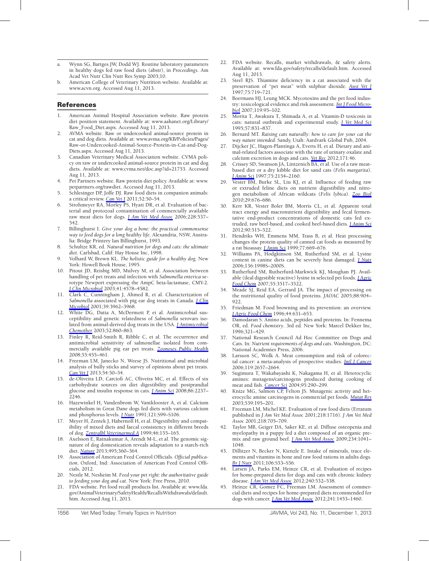- a. Wynn SG, Bartges JW, Dodd WJ. Routine laboratory parameters in healthy dogs fed raw food diets (abstr), in *Proceedings*. Am Acad Vet Nutr Clin Nutr Res Symp 2003;10.
- b. American College of Veterinary Nutrition website. Available at: www.acvn.org. Accessed Aug 11, 2013.

#### References

- 1. American Animal Hospital Association website. Raw protein diet position statement. Available at: www.aahanet.org/Library/ Raw\_Food\_Diet.aspx. Accessed Aug 11, 2013.
- 2. AVMA website. Raw or undercooked animal-source protein in cat and dog diets. Available at: www.avma.org/KB/Policies/Pages/ Raw-or-Undercooked-Animal-Source-Protein-in-Cat-and-Dog-Diets.aspx. Accessed Aug 11, 2013.
- 3. Canadian Veterinary Medical Association website. CVMA policy on raw or undercooked animal-source protein in cat and dog diets. Available at: www.cvma.net/doc.asp?id=21753. Accessed Aug 11, 2013.
- 4. Pet Partners website. Raw protein diet policy. Available at: www. petpartners.org/rawdiet. Accessed Aug 11, 2013.
- 5. Schlesinger DP, Joffe DJ. Raw food diets in companion animals: a critical review. *[Can Vet J](http://avmajournals.avma.org/action/showLinks?pmid=21461207)* 2011;52:50–54.
- 6. Strohmeyer RA, Morley PS, Hyatt DR, et al. Evaluation of bacterial and protozoal contamination of commercially available raw meat diets for dogs. *[J Am Vet Med Assoc](http://avmajournals.avma.org/action/showLinks?system=10.2460%2Fjavma.228.4.537&pmid=16478425)* 2006;228:537– 542.
- 7. Billinghurst I. *Give your dog a bone: the practical commonsense way to feed dogs for a long healthy life*. Alexandria, NSW, Australia: Bridge Printery Ian Billinghurst, 1993.
- 8. Schultze KR, ed. *Natural nutrition for dogs and cats: the ultimate diet.* Carlsbad, Calif: Hay House Inc, 1998.
- 9. Volhard W, Brown KL. *The holistic guide for a healthy dog.* New York: Howell Book House, 1995.
- 10. Pitout JD, Reisbig MD, Mulvey M, et al. Association between handling of pet treats and infection with *Salmonella enterica* serotype Newport expressing the AmpC beta-lactamase, CMY-2. *[J Clin Microbiol](http://avmajournals.avma.org/action/showLinks?pmid=14532185&crossref=10.1128%2FJCM.41.10.4578-4582.2003)* 2003;41:4578–4582.
- 11. Clark C, Cunningham J, Ahmed R, et al. Characterization of *Salmonella* associated with pig ear dog treats in Canada. *[J Clin](http://avmajournals.avma.org/action/showLinks?pmid=11682515&crossref=10.1128%2FJCM.39.11.3962-3968.2001) [Microbiol](http://avmajournals.avma.org/action/showLinks?pmid=11682515&crossref=10.1128%2FJCM.39.11.3962-3968.2001)* 2001;39:3962–3968.
- 12. White DG, Datta A, McDermott P, et al. Antimicrobial susceptibility and genetic relatedness of *Salmonella* serovars isolated from animal-derived dog treats in the USA. *[J Antimicrobial](http://avmajournals.avma.org/action/showLinks?pmid=14519678&crossref=10.1093%2Fjac%2Fdkg441) [Chemother](http://avmajournals.avma.org/action/showLinks?pmid=14519678&crossref=10.1093%2Fjac%2Fdkg441)* 2003;52:860–863.
- 13. Finley R, Reid-Smith R, Ribble C, et al. The occurrence and antimicrobial sensitivity of salmonellae isolated from commercially available pig ear pet treats. *[Zoonoses Public Health](http://avmajournals.avma.org/action/showLinks?pmid=18631234&crossref=10.1111%2Fj.1863-2378.2008.01147.x)* 2008;55:455–461.
- 14. Freeman LM, Janecko N, Weese JS. Nutritional and microbial analysis of bully sticks and survey of opinions about pet treats. *[Can Vet J](http://avmajournals.avma.org/action/showLinks?pmid=23814301)* 2013;54:50–54.
- 15. de-Oliveira LD, Carciofi AC, Oliveira MC, et al. Effects of six carbohydrate sources on diet digestibility and postprandial glucose and insulin response in cats. *[J Anim Sci](http://avmajournals.avma.org/action/showLinks?pmid=18469063&crossref=10.2527%2Fjas.2007-0354)* 2008;86:2237– 2246.
- 16. Hazewinkel H, Vandenbrom W, Vantklooster A, et al. Calcium metabolism in Great Dane dogs fed diets with various calcium and phosphorus levels. *[J Nutr](http://avmajournals.avma.org/action/showLinks?pmid=1941254)* 1991;121:S99–S106.
- 17. Meyer H, Zentek J, Habernoll H, et al. Digestibility and compatibility of mixed diets and faecal consistency in different breeds of dog. *[Zentralbl Veterinarmed A](http://avmajournals.avma.org/action/showLinks?pmid=10337231&crossref=10.1046%2Fj.1439-0442.1999.00201.x)* 1999;46:155–165.
- 18. Axelsson E, Ratnakumar A, Arendt M-L, et al. The genomic signature of dog domestication reveals adaptation to a starch-rich diet. *[Nature](http://avmajournals.avma.org/action/showLinks?pmid=23354050&crossref=10.1038%2Fnature11837)* 2013;495;360–364.
- 19. Association of American Feed Control Officials. *Official publication*. Oxford, Ind: Association of American Feed Control Officials, 2012.
- 20. Nestle M, Nesheim M. *Feed your pet right: the authoritative guide to feeding your dog and cat.* New York: Free Press, 2010.
- 21. FDA website. Pet food recall products list. Available at: www.fda. gov/AnimalVeterinary/SafetyHealth/RecallsWithdrawals/default. htm. Accessed Aug 11, 2013.
- 22. FDA website. Recalls, market withdrawals, & safety alerts. Available at: www.fda.gov/safety/recalls/default.htm. Accessed Aug 11, 2013.
- 23. Steel RJS. Thiamine deficiency in a cat associated with the preservation of "pet meat" with sulphur dioxide. *[Aust Vet J](http://avmajournals.avma.org/action/showLinks?pmid=9406628&crossref=10.1111%2Fj.1751-0813.1997.tb12252.x)* 1997;75:719–721.
- 24. Boermans HJ, Leung MCK. Mycotoxins and the pet food industry: toxicological evidence and risk assessment. *[Int J Food Micro](http://avmajournals.avma.org/action/showLinks?pmid=17889389&crossref=10.1016%2Fj.ijfoodmicro.2007.07.063)[biol](http://avmajournals.avma.org/action/showLinks?pmid=17889389&crossref=10.1016%2Fj.ijfoodmicro.2007.07.063)* 2007;119:95–102.
- 25. Morita T, Awakura T, Shimada A, et al. Vitamin-D toxicosis in cats: natural outbreak and experimental study. *[J Vet Med Sci](http://avmajournals.avma.org/action/showLinks?pmid=8593288&crossref=10.1292%2Fjvms.57.831)* 1995;57:831–837.
- 26. Bernard MT. *Raising cats naturally: how to care for your cat the way nature intended.* Sandy, Utah: Aardvark Global Pub, 2004.
- 27. Dijcker JC, Hagen-Plantinga A, Everts H, et al. Dietary and animal-related factors associate with the rate of urinary oxalate and calcium excretion in dogs and cats. *[Vet Rec](http://avmajournals.avma.org/action/showLinks?pmid=22735988&crossref=10.1136%2Fvr.100293)* 2012;171:46.
- 28. Crissey SD, Swanson JA, Lintzenich BA, et al. Use of a raw meatbased diet or a dry kibble diet for sand cats (*Felis margarita*). *[J Anim Sci](http://avmajournals.avma.org/action/showLinks?pmid=9263063)* 1997;75:2154–2160.
- 29. Vester BM, Burke SL, Liu KJ, et al. Influence of feeding raw or extruded feline diets on nutrient digestibility and nitrogen metabolism of African wildcats (*Felis lybica*). *[Zoo Biol](http://avmajournals.avma.org/action/showLinks?pmid=20095004&crossref=10.1002%2Fzoo.20305)* 2010;29:676–686.
- 30. Kerr KR, Vester Boler BM, Morris CL, et al. Apparent total tract energy and macronutrient digestibility and fecal fermentative end-product concentrations of domestic cats fed extruded, raw beef-based, and cooked beef-based diets. *[J Anim Sci](http://avmajournals.avma.org/action/showLinks?pmid=22003235&crossref=10.2527%2Fjas.2010-3266)* 2012;90:515–522.
- 31. Hendriks WH, Emmens MM, Trass B, et al. Heat processing changes the protein quality of canned cat foods as measured by a rat bioassay. *[J Anim Sci](http://avmajournals.avma.org/action/showLinks?pmid=10229363)* 1999;77:669–676.
- 32. Williams PA, Hodgkinson SM, Rutherfurd SM, et al. Lysine content in canine diets can be severely heat damaged. *[J Nutr](http://avmajournals.avma.org/action/showLinks?pmid=16772478)* 2006;136:1998S–2000S.
- 33. Rutherfurd SM, Rutherfurd-Markwick KJ, Moughan PJ. Available (ileal digestible reactive) lysine in selected pet foods. *[J Agric](http://avmajournals.avma.org/action/showLinks?pmid=17391038&crossref=10.1021%2Fjf062919t) [Food Chem](http://avmajournals.avma.org/action/showLinks?pmid=17391038&crossref=10.1021%2Fjf062919t)* 2007;55:3517–3522.
- 34. Meade SJ, Reid EA, Gerrard JA. The impact of processing on the nutritional quality of food proteins. *JAOAC* 2005;88:904–  $922$
- 35. Friedman M. Food browning and its prevention: an overview. *[J Agric Food Chem](http://avmajournals.avma.org/action/showLinks?crossref=10.1021%2Fjf950394r)* 1996;44:631–653.
- 36. Damodaran S. Amino acids, peptides and proteins. In: Fennema OR, ed. *Food chemistry*. 3rd ed*.* New York: Marcel Dekker Inc, 1996;321–429.
- 37. National Research Council Ad Hoc Committee on Dogs and Cats. In: *Nutrient requirements of dogs and cats*. Washington, DC: National Academies Press, 2006.
- 38. Larsson SC, Wolk A. Meat consumption and risk of colorectal cancer: a meta-analysis of prospective studies. *[Intl J Cancer](http://avmajournals.avma.org/action/showLinks?pmid=16991129&crossref=10.1002%2Fijc.22170)*  2006;119:2657–2664.
- 39. Sugimura T, Wakabayashi K, Nakagama H, et al. Heterocyclic amines: mutagens/carcinogens produced during cooking of meat and fish. *[Cancer Sci](http://avmajournals.avma.org/action/showLinks?pmid=15072585&crossref=10.1111%2Fj.1349-7006.2004.tb03205.x)* 2004;95:290–299.
- Knize MG, Salmon CP, Felton JS. Mutagenic activity and heterocyclic amine carcinogens in commercial pet foods. *[Mutat Res](http://avmajournals.avma.org/action/showLinks?pmid=12948828&crossref=10.1016%2FS1383-5718%2803%2900164-5)*  2003;539:195–201.
- 41. Freeman LM, Michel KE. Evaluation of raw food diets (Erratum published in *J Am Vet Med Assoc* 2001;218:1716). *J Am Vet Med Assoc* 2001;218:705–709.
- 42. Taylor MB, Geiger DA, Saker KE, et al. Diffuse osteopenia and myelopathy in a puppy fed a diet composed of an organic premix and raw ground beef. *[J Am Vet Med Assoc](http://avmajournals.avma.org/action/showLinks?system=10.2460%2Fjavma.234.8.1041&pmid=19366336)* 2009;234:1041– 1048.
- 43. Dillitzer N, Becker N, Kienzle E. Intake of minerals, trace elements and vitamins in bone and raw food rations in adults dogs. *[Br J Nutr](http://avmajournals.avma.org/action/showLinks?pmid=22005436&crossref=10.1017%2FS0007114511002765)* 2011;106:S53–S56.
- 44. Larsen JA, Parks EM, Heinze CR, et al. Evaluation of recipes for home-prepared diets for dogs and cats with chronic kidney disease. *[J Am Vet Med Assoc](http://avmajournals.avma.org/action/showLinks?system=10.2460%2Fjavma.240.5.532&pmid=22332622)* 2012;240:532–538.
- Heinze CR, Gomez FC, Freeman LM. Assessment of commercial diets and recipes for home-prepared diets recommended for dogs with cancer. *[J Am Vet Med Assoc](http://avmajournals.avma.org/action/showLinks?system=10.2460%2Fjavma.241.11.1453&pmid=23176236)* 2012;241:1453–1460.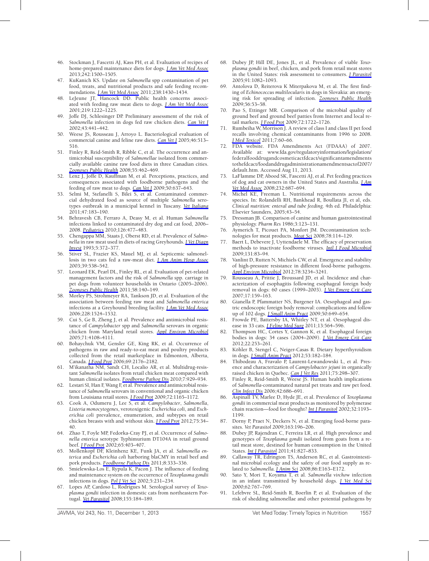- 46. Stockman J, Fascetti AJ, Kass PH, et al. Evaluation of recipes of home-prepared maintenance diets for dogs. *[J Am Vet Med Assoc](http://avmajournals.avma.org/action/showLinks?system=10.2460%2Fjavma.242.11.1500&pmid=23683013)* 2013;242:1500–1505.
- 47. KuKanich KS. Update on *Salmonella* spp contamination of pet food, treats, and nutritional products and safe feeding recommendations. *[J Am Vet Med Assoc](http://avmajournals.avma.org/action/showLinks?system=10.2460%2Fjavma.238.11.1430&pmid=21627504)* 2011;238:1430–1434.
- 48. LeJeune JT, Hancock DD. Public health concerns associated with feeding raw meat diets to dogs. *[J Am Vet Med Assoc](http://avmajournals.avma.org/action/showLinks?system=10.2460%2Fjavma.2001.219.1222&pmid=11697364)* 2001;219:1222–1225.
- 49. Joffe DJ, Schlesinger DP. Preliminary assessment of the risk of *Salmonella* infection in dogs fed raw chicken diets. *[Can Vet J](http://avmajournals.avma.org/action/showLinks?pmid=12058569)* 2002;43:441–442.
- 50. Weese JS, Rousseau J, Arroyo L. Bacteriological evaluation of commercial canine and feline raw diets. *[Can Vet J](http://avmajournals.avma.org/action/showLinks?pmid=16048011)* 2005;46:513– 516.
- 51. Finley R, Reid-Smith R, Ribble C, et al. The occurrence and antimicrobial susceptibility of *Salmonellae* isolated from commercially available canine raw food diets in three Canadian cities. *[Zoonoses Public Health](http://avmajournals.avma.org/action/showLinks?pmid=18811907&crossref=10.1111%2Fj.1863-2378.2008.01147.x)* 2008;55:462–469.
- 52. Lenz J, Joffe D, Kauffman M, et al. Perceptions, practices, and consequences associated with foodborne pathogens and the feeding of raw meat to dogs. *[Can Vet J](http://avmajournals.avma.org/action/showLinks?pmid=19721784)* 2009;50:637–643.
- 53. Selmi M, Stefanelli S, Bilei S, et al. Contaminated commercial dehydrated food as source of multiple *Salmonella* serotypes outbreak in a municipal kennel in Tuscany. *[Vet Italiana](http://avmajournals.avma.org/action/showLinks?pmid=21706471)* 2011;47:183–190.
- 54. Behravesh CB, Ferraro A, Deasy M, et al. Human *Salmonella* infections linked to contaminated dry dog and cat food, 2006– 2008. *[Pediatrics](http://avmajournals.avma.org/action/showLinks?pmid=20696725&crossref=10.1542%2Fpeds.2009-3273)* 2010;126:477–483.
- 55. Chengappa MM, Staats J, Oberst RD, et al. Prevalence of *Salmonella* in raw meat used in diets of racing Greyhounds. *[J Vet Diagn](http://avmajournals.avma.org/action/showLinks?pmid=8373850&crossref=10.1177%2F104063879300500312) [Invest](http://avmajournals.avma.org/action/showLinks?pmid=8373850&crossref=10.1177%2F104063879300500312)* 1993;5:372–377.
- 56. Stiver SL, Frazier KS, Mauel MJ, et al. Septicemic salmonellosis in two cats fed a raw-meat diet. *[J Am Anim Hosp Assoc](http://avmajournals.avma.org/action/showLinks?pmid=14736718)* 2003;39:538–542.
- 57. Leonard EK, Pearl DL, Finley RL, et al. Evaluation of pet-related management factors and the risk of *Salmonella* spp*.* carriage in pet dogs from volunteer households in Ontario (2005–2006). *[Zoonoses Public Health](http://avmajournals.avma.org/action/showLinks?pmid=20163574&crossref=10.1111%2Fj.1863-2378.2009.01320.x)* 2011;58:140–149.
- 58. Morley PS, Strohmeyer RA, Tankson JD, et al. Evaluation of the association between feeding raw meat and *Salmonella enterica* infections at a Greyhound breeding facility. *[J Am Vet Med Assoc](http://avmajournals.avma.org/action/showLinks?system=10.2460%2Fjavma.228.10.1524&pmid=16677120)* 2006;228:1524–1532.
- 59. Cui S, Ge B, Zheng J, et al. Prevalence and antimicrobial resistance of *Campylobacter* spp and *Salmonella* serovars in organic chicken from Maryland retail stores. *[Appl Environ Microbiol](http://avmajournals.avma.org/action/showLinks?pmid=16000828&crossref=10.1128%2FAEM.71.7.4108-4111.2005)* 2005;71:4108–4111.
- 60. Bohaychuk VM, Gensler GE, King RK, et al. Occurrence of pathogens in raw and ready-to-eat meat and poultry products collected from the retail marketplace in Edmonton, Alberta, Canada. *[J Food Prot](http://avmajournals.avma.org/action/showLinks?pmid=16995521)* 2006;69:2176–2182.
- 61. M'ikanatha NM, Sandt CH, Localio AR, et al. Multidrug-resistant *Salmonella* isolates from retail chicken meat compared with human clinical isolates. *[Foodborne Pathog Dis](http://avmajournals.avma.org/action/showLinks?pmid=20443729&crossref=10.1089%2Ffpd.2009.0499)* 2010;7:929–934.
- 62. Lestari SI, Han F, Wang F, et al. Prevalence and antimicrobial resistance of *Salmonella* serovars in conventional and organic chicken from Louisiana retail stores. *[J Food Prot](http://avmajournals.avma.org/action/showLinks?pmid=19610326)* 2009;72:1165–1172.
- 63. Cook A, Odumeru J, Lee S, et al. *Campylobacter*, *Salmonella*, *Listeria monocytogenes*, verotoxigenic *Escherichia coli*, and *Escherichia coli* prevalence, enumeration, and subtypes on retail chicken breasts with and without skin. *[J Food Prot](http://avmajournals.avma.org/action/showLinks?pmid=22221353&crossref=10.4315%2F0362-028X.JFP-11-206)* 2012;75:34– 40.
- 64. Zhao T, Foyle MP, Fedorka-Cray PJ, et al. Occurrence of *Salmonella enterica* serotype Typhimurium DT104A in retail ground beef. *[J Food Prot](http://avmajournals.avma.org/action/showLinks?pmid=11848574)* 2002;65:403–407.
- 65. Mollenkopf DF, Kleinhenz KE, Funk JA, et al. *Salmonella enterica* and *Escherichia coli* harboring blaCMY in retail beef and pork products. *[Foodborne Pathog Dis](http://avmajournals.avma.org/action/showLinks?pmid=21034230&crossref=10.1089%2Ffpd.2010.0701)* 2011;8:333–336.
- 66. Smielewska-Los E, Rypula K, Pacon J. The influence of feeding and maintenance system on the occurrence of *Toxoplasma gondii* infections in dogs. *[Pol J Vet Sci](http://avmajournals.avma.org/action/showLinks?pmid=12512556)* 2002;5:231–234.
- 67. Lopes AP, Cardoso L, Rodrigues M. Serological survey of *Toxoplasma gondii* infection in domestic cats from northeastern Portugal. *[Vet Parasitol](http://avmajournals.avma.org/action/showLinks?pmid=18571327&crossref=10.1016%2Fj.vetpar.2008.05.007)* 2008;155:184–189.
- 68. Dubey JP, Hill DE, Jones JL, et al. Prevalence of viable *Toxoplasma gondii* in beef, chicken, and pork from retail meat stores in the United States: risk assessment to consumers. *[J Parasitol](http://avmajournals.avma.org/action/showLinks?pmid=16419752&crossref=10.1645%2FGE-683.1)* 2005;91:1082–1093.
- 69. Antolova D, Reiterova K Miterpakova M, et al. The first finding of *Echinococcus multilocularis* in dogs in Slovakia: an emerging risk for spreading of infection. *[Zoonoses Public Health](http://avmajournals.avma.org/action/showLinks?pmid=18721227&crossref=10.1111%2Fj.1863-2378.2008.01154.x)* 2009;56:53–58.
- 70. Pao S, Ettinger MR. Comparison of the microbial quality of ground beef and ground beef patties from Internet and local retail markets. *[J Food Prot](http://avmajournals.avma.org/action/showLinks?pmid=19722408)* 2009;72:1722–1726.
- 71. Rumbeiha W, Morrison J. A review of class I and class II pet food recalls involving chemical contaminants from 1996 to 2008. *[J Med Toxicol](http://avmajournals.avma.org/action/showLinks?pmid=21125435&crossref=10.1007%2Fs13181-010-0123-5)* 2011;7:60–66.
- 72. FDA website. FDA Amendments Act (FDAAA) of 2007. Available at: www.fda.gov/regulatoryinformation/legislation/ federalfooddrugandcosmeticactfdcact/significantamendments tothefdcact/foodanddrugadministrationamendmentsactof2007/ default.htm. Accessed Aug 11, 2013.
- 73. LaFlamme DP, Abood SK, Fascetti AJ, et al. Pet feeding practices of dog and cat owners in the United States and Australia. *[J Am](http://avmajournals.avma.org/action/showLinks?system=10.2460%2Fjavma.232.5.687&pmid=18312173) [Vet Med Assoc](http://avmajournals.avma.org/action/showLinks?system=10.2460%2Fjavma.232.5.687&pmid=18312173)* 2008;232:687–694.
- 74. Michel KE, Freeman L. Nutritional requirements across the species. In: Rolandelli RH, Bankhead R, Boullata JI, et al, eds. *Clinical nutrition: enteral and tube feeding.* 4th ed. Philadelphia: Elsevier Saunders, 2005;43–54.
- 75. Dressman JB. Comparison of canine and human gastrointestinal physiology. *Pharm Res* 1986;3:123–131.
- 76. Aymerich T, Picouet PA, Monfort JM. Decontamination technologies for meat products. *[Meat Sci](http://avmajournals.avma.org/action/showLinks?pmid=22062101&crossref=10.1016%2Fj.meatsci.2007.07.007)* 2008;78:114–129.
- 77. Baert L, Debevere J, Uyttendaele M. The efficacy of preservation methods to inactivate foodborne viruses. *[Intl J Food Microbiol](http://avmajournals.avma.org/action/showLinks?pmid=19349089&crossref=10.1016%2Fj.ijfoodmicro.2009.03.007)*  2009;131:83–94.
- 78. Vanlint D, Rutten N, Michiels CW, et al. Emergence and stability of high-pressure resistance in different food-borne pathogens. *[Appl Environ Microbiol](http://avmajournals.avma.org/action/showLinks?pmid=22344661&crossref=10.1128%2FAEM.00030-12)* 2012;78:3234–3241.
- 79. Rousseau A, Prittie J, Broussard JD, et al. Incidence and characterization of esophagitis following esophageal foreign body removal in dogs: 60 cases (1999–2003). *[J Vet Emerg Crit Care](http://avmajournals.avma.org/action/showLinks?crossref=10.1111%2Fj.1476-4431.2007.00227.x)* 2007;17:159–163.
- 80. Gianella P, Pfammatter NS, Burgener IA. Oesophageal and gastric endoscopic foreign body removal: complications and follow up of 102 dogs. *[J Small Anim Pract](http://avmajournals.avma.org/action/showLinks?pmid=19954441&crossref=10.1111%2Fj.1748-5827.2009.00845.x)* 2009;50:649–654.
- 81. Frowde PE, Battersby IA, Whitley NT, et al. Oesophageal disease in 33 cats. *[J Feline Med Surg](http://avmajournals.avma.org/action/showLinks?pmid=21764618&crossref=10.1016%2Fj.jfms.2011.04.004)* 2011;13:564–596.
- 82. Thompson HC, Cortes Y, Gannon K, et al. Esophageal foreign bodies in dogs: 34 cases (2004–2009). *[J Vet Emerg Crit Care](http://avmajournals.avma.org/action/showLinks?crossref=10.1111%2Fj.1476-4431.2011.00700.x)* 2012;22:253–261.
- Köhler B, Stengel C, Neiger-Casas R. Dietary hyperthyroidism in dogs. *[J Small Anim Pract](http://avmajournals.avma.org/action/showLinks?pmid=22931400&crossref=10.1111%2Fj.1748-5827.2011.01189.x)* 2012;53:182–184.
- 84. Thibodeau A, Fravalo P, Laurent-Lewandowski L, et al. Presence and characterization of *Campylobacter jejuni* in organically raised chicken in Quebec. *[Can J Vet Res](http://avmajournals.avma.org/action/showLinks?pmid=22468028)* 2011;75:298–307.
- 85. Finley R, Reid-Smith R, Weese JS. Human health implications of *Salmonella*-contaminated natural pet treats and raw pet food. *[Clin Infect Dis](http://avmajournals.avma.org/action/showLinks?pmid=16447116&crossref=10.1086%2F500211)* 2006;42:686–691.
- 86. Aspinall TV, Marlee D, Hyde JE, et al. Prevalence of *Toxoplasma gondii* in commercial meat products as monitored by polymerase chain reaction—food for thought? *[Int J Parasitol](http://avmajournals.avma.org/action/showLinks?pmid=12117502&crossref=10.1016%2FS0020-7519%2802%2900070-X)* 2002;32:1193– 1199.
- 87. Dorny P, Praet N, Deckers N, et al. Emerging food-borne parasites. *Vet Parasitol 2*009;163:196–206.
- Dubey JP, Rajendran C, Ferreira LR, et al. High prevalence and genotypes of *Toxoplasma gondii* isolated from goats from a retail meat store, destined for human consumption in the United States. *[Int J Parasitol](http://avmajournals.avma.org/action/showLinks?pmid=21515278&crossref=10.1016%2Fj.ijpara.2011.03.006)* 2011;41:827–833.
- 89. Callaway TR, Edrington TS, Anderson RC, et al. Gastrointestinal microbial ecology and the safety of our food supply as related to *Salmonella. [J Anim Sci](http://avmajournals.avma.org/action/showLinks?pmid=17878279&crossref=10.2527%2Fjas.2007-0457)* 2008;86:E163–E172.
- Sato Y, Mori T, Koyama T, et al. *Salmonella virchow* infection in an infant transmitted by household dogs*. [J Vet Med Sci](http://avmajournals.avma.org/action/showLinks?pmid=10945298&crossref=10.1292%2Fjvms.62.767)* 2000;62:767–769.
- 91. Lefebvre SL, Reid-Smith R, Boerlin P, et al. Evaluation of the risk of shedding salmonellae and other potential pathogens by